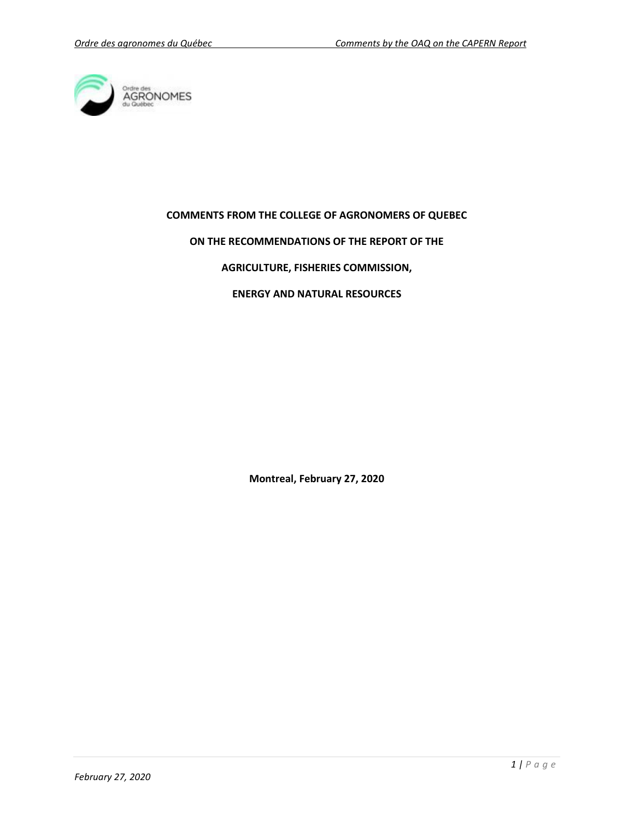

### **COMMENTS FROM THE COLLEGE OF AGRONOMERS OF QUEBEC**

### **ON THE RECOMMENDATIONS OF THE REPORT OF THE**

### **AGRICULTURE, FISHERIES COMMISSION,**

# **ENERGY AND NATURAL RESOURCES**

**Montreal, February 27, 2020**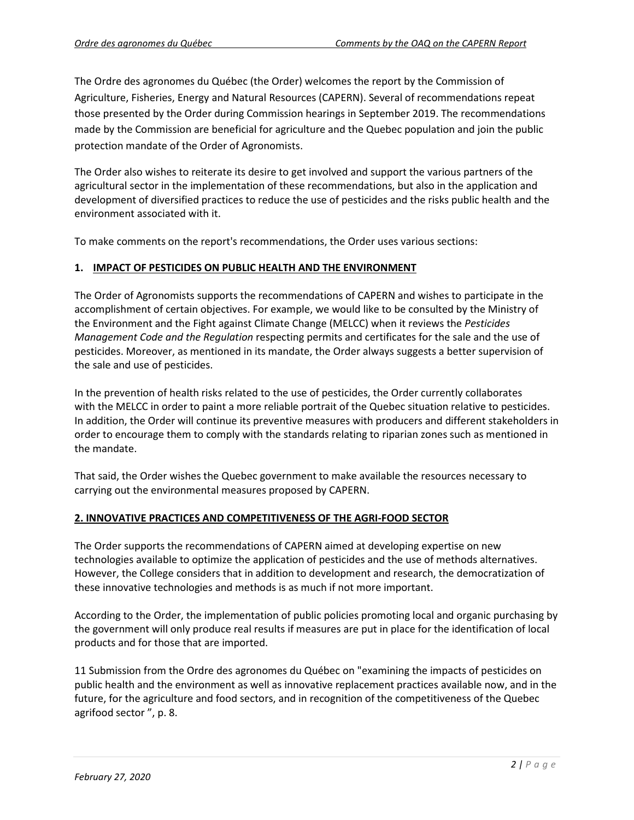The Ordre des agronomes du Québec (the Order) welcomes the report by the Commission of Agriculture, Fisheries, Energy and Natural Resources (CAPERN). Several of recommendations repeat those presented by the Order during Commission hearings in September 2019. The recommendations made by the Commission are beneficial for agriculture and the Quebec population and join the public protection mandate of the Order of Agronomists.

The Order also wishes to reiterate its desire to get involved and support the various partners of the agricultural sector in the implementation of these recommendations, but also in the application and development of diversified practices to reduce the use of pesticides and the risks public health and the environment associated with it.

To make comments on the report's recommendations, the Order uses various sections:

## **1. IMPACT OF PESTICIDES ON PUBLIC HEALTH AND THE ENVIRONMENT**

The Order of Agronomists supports the recommendations of CAPERN and wishes to participate in the accomplishment of certain objectives. For example, we would like to be consulted by the Ministry of the Environment and the Fight against Climate Change (MELCC) when it reviews the *Pesticides Management Code and the Regulation* respecting permits and certificates for the sale and the use of pesticides. Moreover, as mentioned in its mandate, the Order always suggests a better supervision of the sale and use of pesticides.

In the prevention of health risks related to the use of pesticides, the Order currently collaborates with the MELCC in order to paint a more reliable portrait of the Quebec situation relative to pesticides. In addition, the Order will continue its preventive measures with producers and different stakeholders in order to encourage them to comply with the standards relating to riparian zones such as mentioned in the mandate.

That said, the Order wishes the Quebec government to make available the resources necessary to carrying out the environmental measures proposed by CAPERN.

### **2. INNOVATIVE PRACTICES AND COMPETITIVENESS OF THE AGRI-FOOD SECTOR**

The Order supports the recommendations of CAPERN aimed at developing expertise on new technologies available to optimize the application of pesticides and the use of methods alternatives. However, the College considers that in addition to development and research, the democratization of these innovative technologies and methods is as much if not more important.

According to the Order, the implementation of public policies promoting local and organic purchasing by the government will only produce real results if measures are put in place for the identification of local products and for those that are imported.

11 Submission from the Ordre des agronomes du Québec on "examining the impacts of pesticides on public health and the environment as well as innovative replacement practices available now, and in the future, for the agriculture and food sectors, and in recognition of the competitiveness of the Quebec agrifood sector ", p. 8.